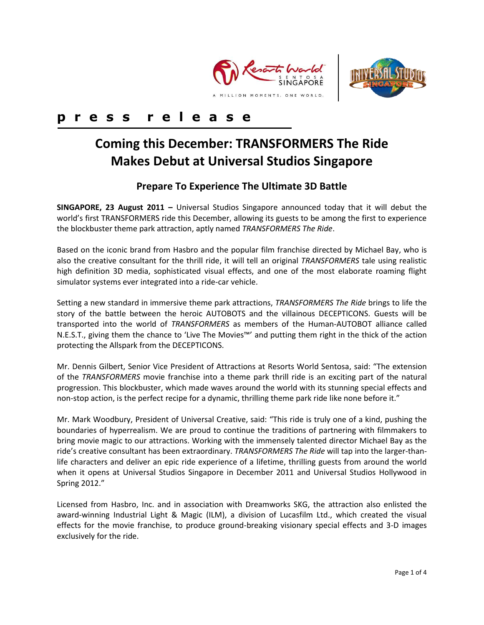



## **p r e s s r e l e a s e**

# **Coming this December: TRANSFORMERS The Ride Makes Debut at Universal Studios Singapore**

### **Prepare To Experience The Ultimate 3D Battle**

**SINGAPORE, 23 August 2011 –** Universal Studios Singapore announced today that it will debut the world's first TRANSFORMERS ride this December, allowing its guests to be among the first to experience the blockbuster theme park attraction, aptly named *TRANSFORMERS The Ride*.

Based on the iconic brand from Hasbro and the popular film franchise directed by Michael Bay, who is also the creative consultant for the thrill ride, it will tell an original *TRANSFORMERS* tale using realistic high definition 3D media, sophisticated visual effects, and one of the most elaborate roaming flight simulator systems ever integrated into a ride-car vehicle.

Setting a new standard in immersive theme park attractions, *TRANSFORMERS The Ride* brings to life the story of the battle between the heroic AUTOBOTS and the villainous DECEPTICONS. Guests will be transported into the world of *TRANSFORMERS* as members of the Human-AUTOBOT alliance called N.E.S.T., giving them the chance to 'Live The Movies™' and putting them right in the thick of the action protecting the Allspark from the DECEPTICONS.

Mr. Dennis Gilbert, Senior Vice President of Attractions at Resorts World Sentosa, said: "The extension of the *TRANSFORMERS* movie franchise into a theme park thrill ride is an exciting part of the natural progression. This blockbuster, which made waves around the world with its stunning special effects and non-stop action, is the perfect recipe for a dynamic, thrilling theme park ride like none before it."

Mr. Mark Woodbury, President of Universal Creative, said: "This ride is truly one of a kind, pushing the boundaries of hyperrealism. We are proud to continue the traditions of partnering with filmmakers to bring movie magic to our attractions. Working with the immensely talented director Michael Bay as the ride's creative consultant has been extraordinary. *TRANSFORMERS The Ride* will tap into the larger-thanlife characters and deliver an epic ride experience of a lifetime, thrilling guests from around the world when it opens at Universal Studios Singapore in December 2011 and Universal Studios Hollywood in Spring 2012."

Licensed from Hasbro, Inc. and in association with Dreamworks SKG, the attraction also enlisted the award-winning Industrial Light & Magic (ILM), a division of Lucasfilm Ltd., which created the visual effects for the movie franchise, to produce ground-breaking visionary special effects and 3-D images exclusively for the ride.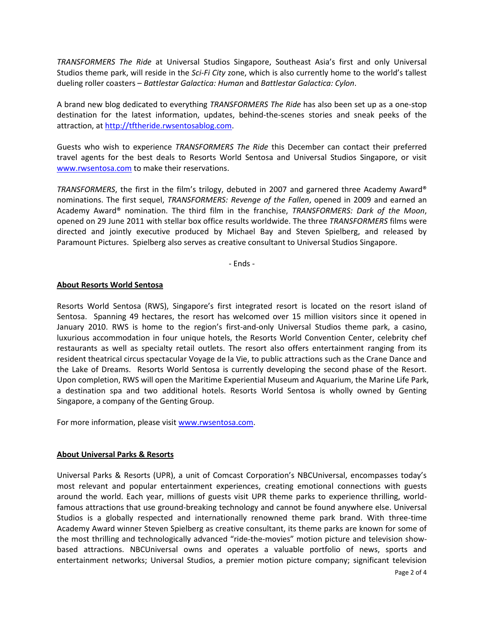*TRANSFORMERS The Ride* at Universal Studios Singapore, Southeast Asia's first and only Universal Studios theme park, will reside in the *Sci-Fi City* zone, which is also currently home to the world's tallest dueling roller coasters – *Battlestar Galactica: Human* and *Battlestar Galactica: Cylon*.

A brand new blog dedicated to everything *TRANSFORMERS The Ride* has also been set up as a one-stop destination for the latest information, updates, behind-the-scenes stories and sneak peeks of the attraction, at [http://tftheride.rwsentosablog.com.](http://tftheride.rwsentosablog.com/)

Guests who wish to experience *TRANSFORMERS The Ride* this December can contact their preferred travel agents for the best deals to Resorts World Sentosa and Universal Studios Singapore, or visit [www.rwsentosa.com](http://www.rwsentosa.com/) to make their reservations.

*TRANSFORMERS*, the first in the film's trilogy, debuted in 2007 and garnered three Academy Award® nominations. The first sequel, *TRANSFORMERS: Revenge of the Fallen*, opened in 2009 and earned an Academy Award® nomination. The third film in the franchise, *TRANSFORMERS: Dark of the Moon*, opened on 29 June 2011 with stellar box office results worldwide. The three *TRANSFORMERS* films were directed and jointly executive produced by Michael Bay and Steven Spielberg, and released by Paramount Pictures. Spielberg also serves as creative consultant to Universal Studios Singapore.

- Ends -

#### **About Resorts World Sentosa**

Resorts World Sentosa (RWS), Singapore's first integrated resort is located on the resort island of Sentosa. Spanning 49 hectares, the resort has welcomed over 15 million visitors since it opened in January 2010. RWS is home to the region's first-and-only Universal Studios theme park, a casino, luxurious accommodation in four unique hotels, the Resorts World Convention Center, celebrity chef restaurants as well as specialty retail outlets. The resort also offers entertainment ranging from its resident theatrical circus spectacular Voyage de la Vie, to public attractions such as the Crane Dance and the Lake of Dreams. Resorts World Sentosa is currently developing the second phase of the Resort. Upon completion, RWS will open the Maritime Experiential Museum and Aquarium, the Marine Life Park, a destination spa and two additional hotels. Resorts World Sentosa is wholly owned by Genting Singapore, a company of the Genting Group.

For more information, please visi[t www.rwsentosa.com.](http://www.rwsentosa.com/)

#### **About Universal Parks & Resorts**

Universal Parks & Resorts (UPR), a unit of Comcast Corporation's NBCUniversal, encompasses today's most relevant and popular entertainment experiences, creating emotional connections with guests around the world. Each year, millions of guests visit UPR theme parks to experience thrilling, worldfamous attractions that use ground-breaking technology and cannot be found anywhere else. Universal Studios is a globally respected and internationally renowned theme park brand. With three-time Academy Award winner Steven Spielberg as creative consultant, its theme parks are known for some of the most thrilling and technologically advanced "ride-the-movies" motion picture and television showbased attractions. NBCUniversal owns and operates a valuable portfolio of news, sports and entertainment networks; Universal Studios, a premier motion picture company; significant television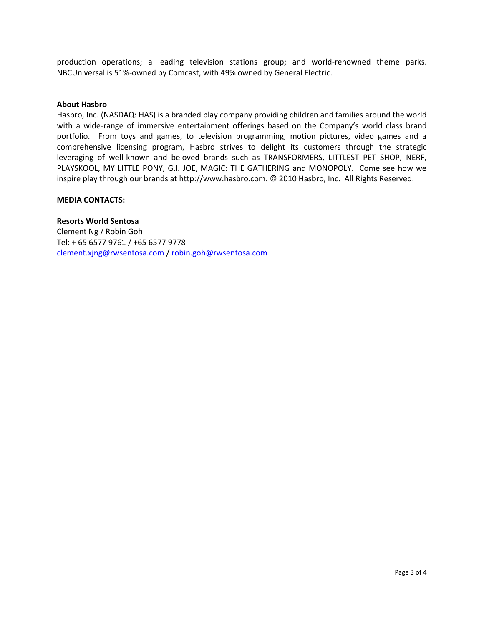production operations; a leading television stations group; and world-renowned theme parks. NBCUniversal is 51%-owned by Comcast, with 49% owned by General Electric.

#### **About Hasbro**

Hasbro, Inc. (NASDAQ: HAS) is a branded play company providing children and families around the world with a wide-range of immersive entertainment offerings based on the Company's world class brand portfolio. From toys and games, to television programming, motion pictures, video games and a comprehensive licensing program, Hasbro strives to delight its customers through the strategic leveraging of well-known and beloved brands such as TRANSFORMERS, LITTLEST PET SHOP, NERF, PLAYSKOOL, MY LITTLE PONY, G.I. JOE, MAGIC: THE GATHERING and MONOPOLY. Come see how we inspire play through our brands at http://www.hasbro.com. © 2010 Hasbro, Inc. All Rights Reserved.

#### **MEDIA CONTACTS:**

**Resorts World Sentosa** Clement Ng / Robin Goh Tel: + 65 6577 9761 / +65 6577 9778 [clement.xjng@rwsentosa.com](mailto:clement.xjng@rwsentosa.com) / [robin.goh@rwsentosa.com](mailto:robin.goh@rwsentosa.com)